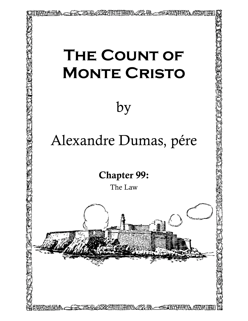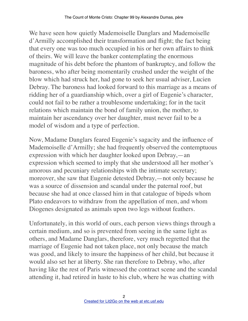We have seen how quietly Mademoiselle Danglars and Mademoiselle d'Armilly accomplished their transformation and flight; the fact being that every one was too much occupied in his or her own affairs to think of theirs. We will leave the banker contemplating the enormous magnitude of his debt before the phantom of bankruptcy, and follow the baroness, who after being momentarily crushed under the weight of the blow which had struck her, had gone to seek her usual adviser, Lucien Debray. The baroness had looked forward to this marriage as a means of ridding her of a guardianship which, over a girl of Eugenie's character, could not fail to be rather a troublesome undertaking; for in the tacit relations which maintain the bond of family union, the mother, to maintain her ascendancy over her daughter, must never fail to be a model of wisdom and a type of perfection.

Now, Madame Danglars feared Eugenie's sagacity and the influence of Mademoiselle d'Armilly; she had frequently observed the contemptuous expression with which her daughter looked upon Debray,—an expression which seemed to imply that she understood all her mother's amorous and pecuniary relationships with the intimate secretary; moreover, she saw that Eugenie detested Debray,—not only because he was a source of dissension and scandal under the paternal roof, but because she had at once classed him in that catalogue of bipeds whom Plato endeavors to withdraw from the appellation of men, and whom Diogenes designated as animals upon two legs without feathers.

Unfortunately, in this world of ours, each person views things through a certain medium, and so is prevented from seeing in the same light as others, and Madame Danglars, therefore, very much regretted that the marriage of Eugenie had not taken place, not only because the match was good, and likely to insure the happiness of her child, but because it would also set her at liberty. She ran therefore to Debray, who, after having like the rest of Paris witnessed the contract scene and the scandal attending it, had retired in haste to his club, where he was chatting with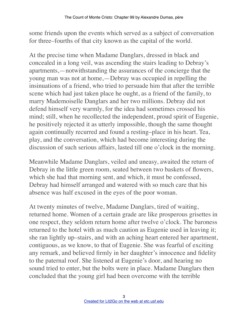some friends upon the events which served as a subject of conversation for three–fourths of that city known as the capital of the world.

At the precise time when Madame Danglars, dressed in black and concealed in a long veil, was ascending the stairs leading to Debray's apartments,—notwithstanding the assurances of the concierge that the young man was not at home,—Debray was occupied in repelling the insinuations of a friend, who tried to persuade him that after the terrible scene which had just taken place he ought, as a friend of the family, to marry Mademoiselle Danglars and her two millions. Debray did not defend himself very warmly, for the idea had sometimes crossed his mind; still, when he recollected the independent, proud spirit of Eugenie, he positively rejected it as utterly impossible, though the same thought again continually recurred and found a resting–place in his heart. Tea, play, and the conversation, which had become interesting during the discussion of such serious affairs, lasted till one o'clock in the morning.

Meanwhile Madame Danglars, veiled and uneasy, awaited the return of Debray in the little green room, seated between two baskets of flowers, which she had that morning sent, and which, it must be confessed, Debray had himself arranged and watered with so much care that his absence was half excused in the eyes of the poor woman.

At twenty minutes of twelve, Madame Danglars, tired of waiting, returned home. Women of a certain grade are like prosperous grisettes in one respect, they seldom return home after twelve o'clock. The baroness returned to the hotel with as much caution as Eugenie used in leaving it; she ran lightly up–stairs, and with an aching heart entered her apartment, contiguous, as we know, to that of Eugenie. She was fearful of exciting any remark, and believed firmly in her daughter's innocence and fidelity to the paternal roof. She listened at Eugenie's door, and hearing no sound tried to enter, but the bolts were in place. Madame Danglars then concluded that the young girl had been overcome with the terrible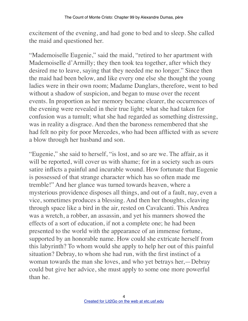excitement of the evening, and had gone to bed and to sleep. She called the maid and questioned her.

"Mademoiselle Eugenie," said the maid, "retired to her apartment with Mademoiselle d'Armilly; they then took tea together, after which they desired me to leave, saying that they needed me no longer." Since then the maid had been below, and like every one else she thought the young ladies were in their own room; Madame Danglars, therefore, went to bed without a shadow of suspicion, and began to muse over the recent events. In proportion as her memory became clearer, the occurrences of the evening were revealed in their true light; what she had taken for confusion was a tumult; what she had regarded as something distressing, was in reality a disgrace. And then the baroness remembered that she had felt no pity for poor Mercedes, who had been afflicted with as severe a blow through her husband and son.

"Eugenie," she said to herself, "is lost, and so are we. The affair, as it will be reported, will cover us with shame; for in a society such as ours satire inflicts a painful and incurable wound. How fortunate that Eugenie is possessed of that strange character which has so often made me tremble!" And her glance was turned towards heaven, where a mysterious providence disposes all things, and out of a fault, nay, even a vice, sometimes produces a blessing. And then her thoughts, cleaving through space like a bird in the air, rested on Cavalcanti. This Andrea was a wretch, a robber, an assassin, and yet his manners showed the effects of a sort of education, if not a complete one; he had been presented to the world with the appearance of an immense fortune, supported by an honorable name. How could she extricate herself from this labyrinth? To whom would she apply to help her out of this painful situation? Debray, to whom she had run, with the first instinct of a woman towards the man she loves, and who yet betrays her,—Debray could but give her advice, she must apply to some one more powerful than he.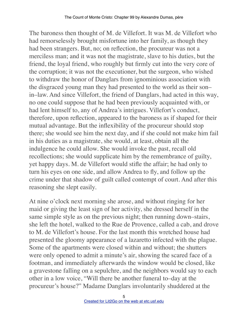The baroness then thought of M. de Villefort. It was M. de Villefort who had remorselessly brought misfortune into her family, as though they had been strangers. But, no; on reflection, the procureur was not a merciless man; and it was not the magistrate, slave to his duties, but the friend, the loyal friend, who roughly but firmly cut into the very core of the corruption; it was not the executioner, but the surgeon, who wished to withdraw the honor of Danglars from ignominious association with the disgraced young man they had presented to the world as their son– in–law. And since Villefort, the friend of Danglars, had acted in this way, no one could suppose that he had been previously acquainted with, or had lent himself to, any of Andrea's intrigues. Villefort's conduct, therefore, upon reflection, appeared to the baroness as if shaped for their mutual advantage. But the inflexibility of the procureur should stop there; she would see him the next day, and if she could not make him fail in his duties as a magistrate, she would, at least, obtain all the indulgence he could allow. She would invoke the past, recall old recollections; she would supplicate him by the remembrance of guilty, yet happy days. M. de Villefort would stifle the affair; he had only to turn his eyes on one side, and allow Andrea to fly, and follow up the crime under that shadow of guilt called contempt of court. And after this reasoning she slept easily.

At nine o'clock next morning she arose, and without ringing for her maid or giving the least sign of her activity, she dressed herself in the same simple style as on the previous night; then running down–stairs, she left the hotel, walked to the Rue de Provence, called a cab, and drove to M. de Villefort's house. For the last month this wretched house had presented the gloomy appearance of a lazaretto infected with the plague. Some of the apartments were closed within and without; the shutters were only opened to admit a minute's air, showing the scared face of a footman, and immediately afterwards the window would be closed, like a gravestone falling on a sepulchre, and the neighbors would say to each other in a low voice, "Will there be another funeral to–day at the procureur's house?" Madame Danglars involuntarily shuddered at the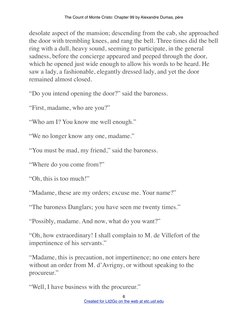desolate aspect of the mansion; descending from the cab, she approached the door with trembling knees, and rang the bell. Three times did the bell ring with a dull, heavy sound, seeming to participate, in the general sadness, before the concierge appeared and peeped through the door, which he opened just wide enough to allow his words to be heard. He saw a lady, a fashionable, elegantly dressed lady, and yet the door remained almost closed.

"Do you intend opening the door?" said the baroness.

"First, madame, who are you?"

"Who am I? You know me well enough."

"We no longer know any one, madame."

"You must be mad, my friend," said the baroness.

"Where do you come from?"

"Oh, this is too much!"

"Madame, these are my orders; excuse me. Your name?"

"The baroness Danglars; you have seen me twenty times."

"Possibly, madame. And now, what do you want?"

"Oh, how extraordinary! I shall complain to M. de Villefort of the impertinence of his servants."

"Madame, this is precaution, not impertinence; no one enters here without an order from M. d'Avrigny, or without speaking to the procureur."

"Well, I have business with the procureur."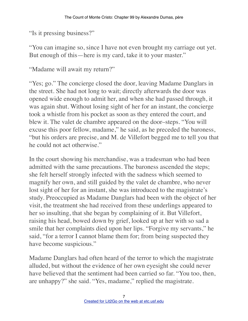"Is it pressing business?"

"You can imagine so, since I have not even brought my carriage out yet. But enough of this—here is my card, take it to your master."

"Madame will await my return?"

"Yes; go." The concierge closed the door, leaving Madame Danglars in the street. She had not long to wait; directly afterwards the door was opened wide enough to admit her, and when she had passed through, it was again shut. Without losing sight of her for an instant, the concierge took a whistle from his pocket as soon as they entered the court, and blew it. The valet de chambre appeared on the door–steps. "You will excuse this poor fellow, madame," he said, as he preceded the baroness, "but his orders are precise, and M. de Villefort begged me to tell you that he could not act otherwise."

In the court showing his merchandise, was a tradesman who had been admitted with the same precautions. The baroness ascended the steps; she felt herself strongly infected with the sadness which seemed to magnify her own, and still guided by the valet de chambre, who never lost sight of her for an instant, she was introduced to the magistrate's study. Preoccupied as Madame Danglars had been with the object of her visit, the treatment she had received from these underlings appeared to her so insulting, that she began by complaining of it. But Villefort, raising his head, bowed down by grief, looked up at her with so sad a smile that her complaints died upon her lips. "Forgive my servants," he said, "for a terror I cannot blame them for; from being suspected they have become suspicious."

Madame Danglars had often heard of the terror to which the magistrate alluded, but without the evidence of her own eyesight she could never have believed that the sentiment had been carried so far. "You too, then, are unhappy?" she said. "Yes, madame," replied the magistrate.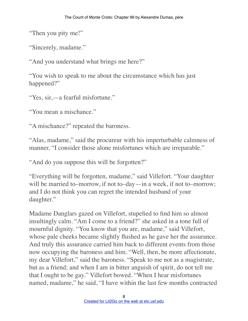"Then you pity me!"

"Sincerely, madame."

"And you understand what brings me here?"

"You wish to speak to me about the circumstance which has just happened?"

"Yes, sir,—a fearful misfortune."

"You mean a mischance."

"A mischance?" repeated the baroness.

"Alas, madame," said the procureur with his imperturbable calmness of manner, "I consider those alone misfortunes which are irreparable."

"And do you suppose this will be forgotten?"

"Everything will be forgotten, madame," said Villefort. "Your daughter will be married to–morrow, if not to–day—in a week, if not to–morrow; and I do not think you can regret the intended husband of your daughter."

Madame Danglars gazed on Villefort, stupefied to find him so almost insultingly calm. "Am I come to a friend?" she asked in a tone full of mournful dignity. "You know that you are, madame," said Villefort, whose pale cheeks became slightly flushed as he gave her the assurance. And truly this assurance carried him back to different events from those now occupying the baroness and him. "Well, then, be more affectionate, my dear Villefort," said the baroness. "Speak to me not as a magistrate, but as a friend; and when I am in bitter anguish of spirit, do not tell me that I ought to be gay." Villefort bowed. "When I hear misfortunes named, madame," he said, "I have within the last few months contracted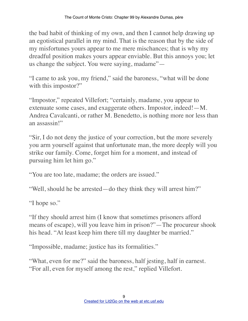the bad habit of thinking of my own, and then I cannot help drawing up an egotistical parallel in my mind. That is the reason that by the side of my misfortunes yours appear to me mere mischances; that is why my dreadful position makes yours appear enviable. But this annoys you; let us change the subject. You were saying, madame"—

"I came to ask you, my friend," said the baroness, "what will be done with this impostor?"

"Impostor," repeated Villefort; "certainly, madame, you appear to extenuate some cases, and exaggerate others. Impostor, indeed!—M. Andrea Cavalcanti, or rather M. Benedetto, is nothing more nor less than an assassin!"

"Sir, I do not deny the justice of your correction, but the more severely you arm yourself against that unfortunate man, the more deeply will you strike our family. Come, forget him for a moment, and instead of pursuing him let him go."

"You are too late, madame; the orders are issued."

"Well, should he be arrested—do they think they will arrest him?"

"I hope so."

"If they should arrest him (I know that sometimes prisoners afford means of escape), will you leave him in prison?"—The procureur shook his head. "At least keep him there till my daughter be married."

"Impossible, madame; justice has its formalities."

"What, even for me?" said the baroness, half jesting, half in earnest. "For all, even for myself among the rest," replied Villefort.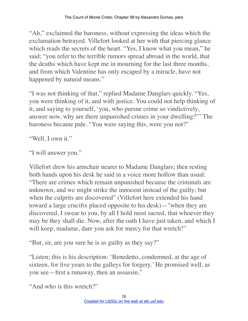"Ah," exclaimed the baroness, without expressing the ideas which the exclamation betrayed. Villefort looked at her with that piercing glance which reads the secrets of the heart. "Yes, I know what you mean," he said; "you refer to the terrible rumors spread abroad in the world, that the deaths which have kept me in mourning for the last three months, and from which Valentine has only escaped by a miracle, have not happened by natural means."

"I was not thinking of that," replied Madame Danglars quickly. "Yes, you were thinking of it, and with justice. You could not help thinking of it, and saying to yourself, 'you, who pursue crime so vindictively, answer now, why are there unpunished crimes in your dwelling?'" The baroness became pale. "You were saying this, were you not?"

```
"Well, I own it."
```

```
"I will answer you."
```
Villefort drew his armchair nearer to Madame Danglars; then resting both hands upon his desk he said in a voice more hollow than usual: "There are crimes which remain unpunished because the criminals are unknown, and we might strike the innocent instead of the guilty; but when the culprits are discovered" (Villefort here extended his hand toward a large crucifix placed opposite to his desk)—"when they are discovered, I swear to you, by all I hold most sacred, that whoever they may be they shall die. Now, after the oath I have just taken, and which I will keep, madame, dare you ask for mercy for that wretch!"

"But, sir, are you sure he is as guilty as they say?"

"Listen; this is his description: 'Benedetto, condemned, at the age of sixteen, for five years to the galleys for forgery.' He promised well, as you see—first a runaway, then an assassin."

"And who is this wretch?"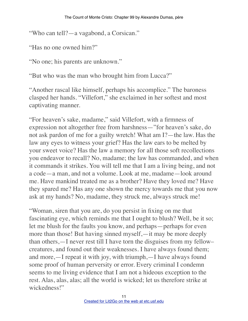"Who can tell?—a vagabond, a Corsican."

"Has no one owned him?"

"No one; his parents are unknown."

"But who was the man who brought him from Lucca?"

"Another rascal like himself, perhaps his accomplice." The baroness clasped her hands. "Villefort," she exclaimed in her softest and most captivating manner.

"For heaven's sake, madame," said Villefort, with a firmness of expression not altogether free from harshness—"for heaven's sake, do not ask pardon of me for a guilty wretch! What am I?—the law. Has the law any eyes to witness your grief? Has the law ears to be melted by your sweet voice? Has the law a memory for all those soft recollections you endeavor to recall? No, madame; the law has commanded, and when it commands it strikes. You will tell me that I am a living being, and not a code—a man, and not a volume. Look at me, madame—look around me. Have mankind treated me as a brother? Have they loved me? Have they spared me? Has any one shown the mercy towards me that you now ask at my hands? No, madame, they struck me, always struck me!

"Woman, siren that you are, do you persist in fixing on me that fascinating eye, which reminds me that I ought to blush? Well, be it so; let me blush for the faults you know, and perhaps—perhaps for even more than those! But having sinned myself,—it may be more deeply than others,—I never rest till I have torn the disguises from my fellow– creatures, and found out their weaknesses. I have always found them; and more,—I repeat it with joy, with triumph,—I have always found some proof of human perversity or error. Every criminal I condemn seems to me living evidence that I am not a hideous exception to the rest. Alas, alas, alas; all the world is wicked; let us therefore strike at wickedness!"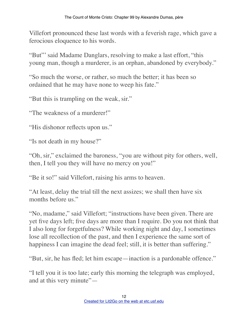Villefort pronounced these last words with a feverish rage, which gave a ferocious eloquence to his words.

"But"' said Madame Danglars, resolving to make a last effort, "this young man, though a murderer, is an orphan, abandoned by everybody."

"So much the worse, or rather, so much the better; it has been so ordained that he may have none to weep his fate."

"But this is trampling on the weak, sir."

"The weakness of a murderer!"

"His dishonor reflects upon us."

"Is not death in my house?"

"Oh, sir," exclaimed the baroness, "you are without pity for others, well, then, I tell you they will have no mercy on you!"

"Be it so!" said Villefort, raising his arms to heaven.

"At least, delay the trial till the next assizes; we shall then have six months before us."

"No, madame," said Villefort; "instructions have been given. There are yet five days left; five days are more than I require. Do you not think that I also long for forgetfulness? While working night and day, I sometimes lose all recollection of the past, and then I experience the same sort of happiness I can imagine the dead feel; still, it is better than suffering."

"But, sir, he has fled; let him escape—inaction is a pardonable offence."

"I tell you it is too late; early this morning the telegraph was employed, and at this very minute"—